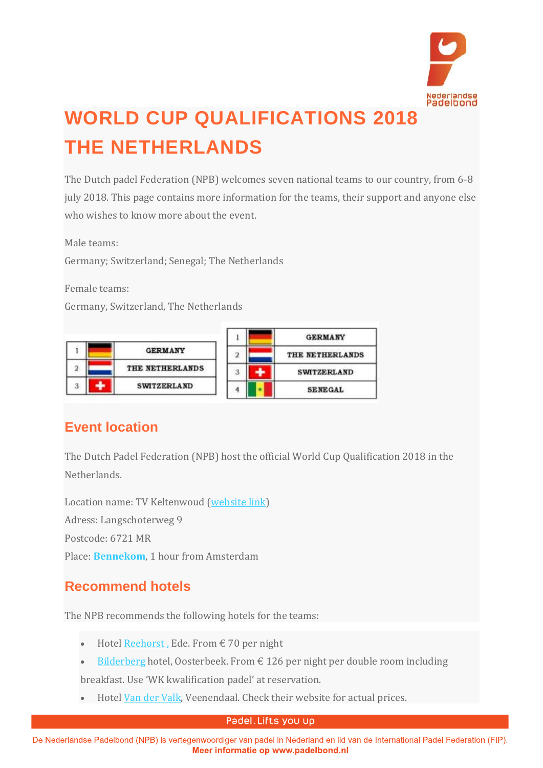

# **WORLD CUP QUALIFICATIONS 2018 THE NETHERLANDS**

The Dutch padel Federation (NPB) welcomes seven national teams to our country, from 6-8 july 2018. This page contains more information for the teams, their support and anyone else who wishes to know more about the event.

Male teams:

Germany; Switzerland; Senegal; The Netherlands

Female teams:

Germany, Switzerland, The Netherlands

|              |                    |  | <b>GERMANY</b>     |
|--------------|--------------------|--|--------------------|
|              | <b>GERMANY</b>     |  | THE NETHERLANDS    |
| $\mathbf{2}$ | THE NETHERLANDS    |  | <b>SWITZERLAND</b> |
|              | <b>SWITZERLAND</b> |  | <b>SENEGAL</b>     |

# **Event location**

The Dutch Padel Federation (NPB) host the official World Cup Qualification 2018 in the Netherlands.

Location name: TV Keltenwoud [\(website](https://keltenwoud.nl/adres-en-openingstijden/) link) Adress: Langschoterweg 9 Postcode: 6721 MR Place: **Bennekom**, 1 hour from Amsterdam

# **Recommend hotels**

The NPB recommends the following hotels for the teams:

- Hotel [Reehorst](http://reehorst.nl/en/index.html), Ede. From  $\epsilon$  70 per night
- [Bilderberg](https://www.bilderberg.nl/en/oosterbeek/hotel-de-bilderberg/) hotel, Oosterbeek. From  $\epsilon$  126 per night per double room including

breakfast. Use 'WK kwalification padel' at reservation.

• Hotel Van der [Valk,](https://www.hotelveenendaal.com/en) Veenendaal. Check their website for actual prices.

#### Padel. Lifts you up

De Nederlandse Padelbond (NPB) is vertegenwoordiger van padel in Nederland en lid van de International Padel Federation (FIP). Meer informatie op www.padelbond.nl